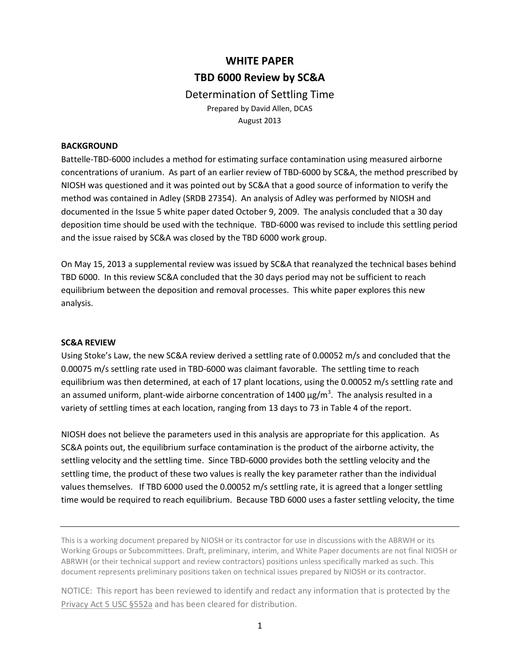# **WHITE PAPER TBD 6000 Review by SC&A**  Determination of Settling Time

Prepared by David Allen, DCAS August 2013

#### **BACKGROUND**

Battelle-TBD-6000 includes a method for estimating surface contamination using measured airborne concentrations of uranium. As part of an earlier review of TBD-6000 by SC&A, the method prescribed by NIOSH was questioned and it was pointed out by SC&A that a good source of information to verify the method was contained in Adley (SRDB 27354). An analysis of Adley was performed by NIOSH and documented in the Issue 5 white paper dated October 9, 2009. The analysis concluded that a 30 day deposition time should be used with the technique. TBD-6000 was revised to include this settling period and the issue raised by SC&A was closed by the TBD 6000 work group.

On May 15, 2013 a supplemental review was issued by SC&A that reanalyzed the technical bases behind TBD 6000. In this review SC&A concluded that the 30 days period may not be sufficient to reach equilibrium between the deposition and removal processes. This white paper explores this new analysis.

## **SC&A REVIEW**

Using Stoke's Law, the new SC&A review derived a settling rate of 0.00052 m/s and concluded that the 0.00075 m/s settling rate used in TBD-6000 was claimant favorable. The settling time to reach equilibrium was then determined, at each of 17 plant locations, using the 0.00052 m/s settling rate and an assumed uniform, plant-wide airborne concentration of 1400  $\mu$ g/m<sup>3</sup>. The analysis resulted in a variety of settling times at each location, ranging from 13 days to 73 in Table 4 of the report.

NIOSH does not believe the parameters used in this analysis are appropriate for this application. As SC&A points out, the equilibrium surface contamination is the product of the airborne activity, the settling velocity and the settling time. Since TBD-6000 provides both the settling velocity and the settling time, the product of these two values is really the key parameter rather than the individual values themselves. If TBD 6000 used the 0.00052 m/s settling rate, it is agreed that a longer settling time would be required to reach equilibrium. Because TBD 6000 uses a faster settling velocity, the time

This is a working document prepared by NIOSH or its contractor for use in discussions with the ABRWH or its Working Groups or Subcommittees. Draft, preliminary, interim, and White Paper documents are not final NIOSH or ABRWH (or their technical support and review contractors) positions unless specifically marked as such. This document represents preliminary positions taken on technical issues prepared by NIOSH or its contractor.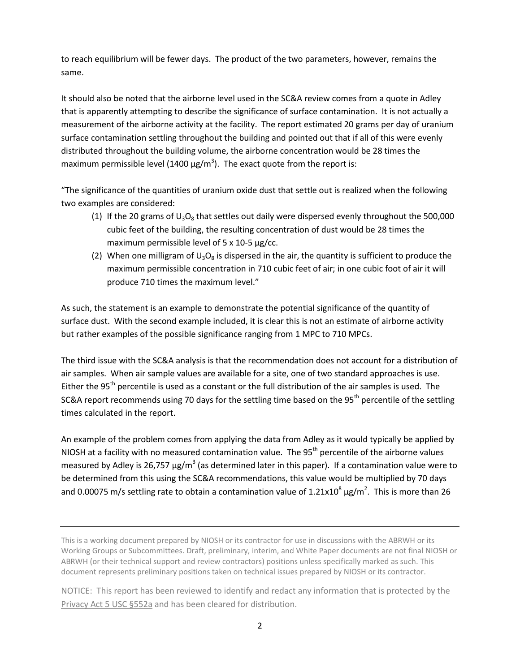to reach equilibrium will be fewer days. The product of the two parameters, however, remains the same.

It should also be noted that the airborne level used in the SC&A review comes from a quote in Adley that is apparently attempting to describe the significance of surface contamination. It is not actually a measurement of the airborne activity at the facility. The report estimated 20 grams per day of uranium surface contamination settling throughout the building and pointed out that if all of this were evenly distributed throughout the building volume, the airborne concentration would be 28 times the maximum permissible level (1400  $\mu$ g/m<sup>3</sup>). The exact quote from the report is:

"The significance of the quantities of uranium oxide dust that settle out is realized when the following two examples are considered:

- (1) If the 20 grams of  $U_3O_8$  that settles out daily were dispersed evenly throughout the 500,000 cubic feet of the building, the resulting concentration of dust would be 28 times the maximum permissible level of 5 x 10-5 µg/cc.
- (2) When one milligram of  $U_3O_8$  is dispersed in the air, the quantity is sufficient to produce the maximum permissible concentration in 710 cubic feet of air; in one cubic foot of air it will produce 710 times the maximum level."

As such, the statement is an example to demonstrate the potential significance of the quantity of surface dust. With the second example included, it is clear this is not an estimate of airborne activity but rather examples of the possible significance ranging from 1 MPC to 710 MPCs.

The third issue with the SC&A analysis is that the recommendation does not account for a distribution of air samples. When air sample values are available for a site, one of two standard approaches is use. Either the  $95<sup>th</sup>$  percentile is used as a constant or the full distribution of the air samples is used. The SC&A report recommends using 70 days for the settling time based on the 95<sup>th</sup> percentile of the settling times calculated in the report.

An example of the problem comes from applying the data from Adley as it would typically be applied by NIOSH at a facility with no measured contamination value. The  $95<sup>th</sup>$  percentile of the airborne values measured by Adley is 26,757  $\mu$ g/m<sup>3</sup> (as determined later in this paper). If a contamination value were to be determined from this using the SC&A recommendations, this value would be multiplied by 70 days and 0.00075 m/s settling rate to obtain a contamination value of 1.21x10<sup>8</sup>  $\mu$ g/m<sup>2</sup>. This is more than 26

This is a working document prepared by NIOSH or its contractor for use in discussions with the ABRWH or its Working Groups or Subcommittees. Draft, preliminary, interim, and White Paper documents are not final NIOSH or ABRWH (or their technical support and review contractors) positions unless specifically marked as such. This document represents preliminary positions taken on technical issues prepared by NIOSH or its contractor.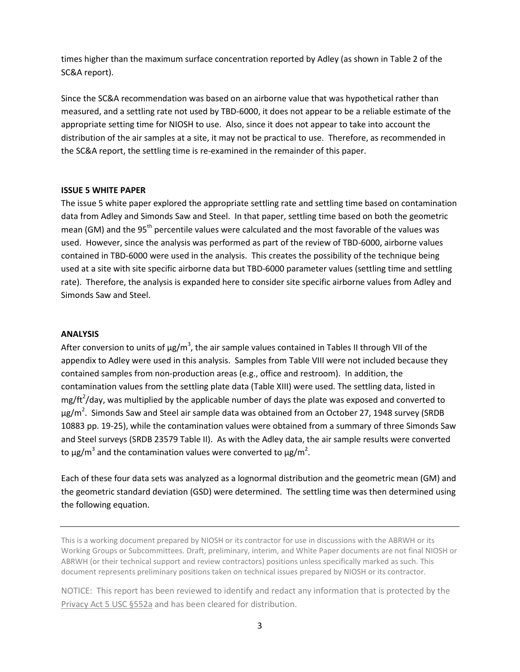times higher than the maximum surface concentration reported by Adley (as shown in Table 2 of the SC&A report).

Since the SC&A recommendation was based on an airborne value that was hypothetical rather than measured, and a settling rate not used by TBD-6000, it does not appear to be a reliable estimate of the appropriate setting time for NIOSH to use. Also, since it does not appear to take into account the distribution of the air samples at a site, it may not be practical to use. Therefore, as recommended in the SC&A report, the settling time is re-examined in the remainder of this paper.

#### **ISSUE 5 WHITE PAPER**

The issue 5 white paper explored the appropriate settling rate and settling time based on contamination data from Adley and Simonds Saw and Steel. In that paper, settling time based on both the geometric mean (GM) and the 95<sup>th</sup> percentile values were calculated and the most favorable of the values was used. However, since the analysis was performed as part of the review of TBD-6000, airborne values contained in TBD-6000 were used in the analysis. This creates the possibility of the technique being used at a site with site specific airborne data but TBD-6000 parameter values (settling time and settling rate). Therefore, the analysis is expanded here to consider site specific airborne values from Adley and Simonds Saw and Steel.

## **ANALYSIS**

After conversion to units of  $\mu$ g/m<sup>3</sup>, the air sample values contained in Tables II through VII of the appendix to Adley were used in this analysis. Samples from Table VIII were not included because they contained samples from non-production areas (e.g., office and restroom). In addition, the contamination values from the settling plate data (Table XIII) were used. The settling data, listed in mg/ft<sup>2</sup>/day, was multiplied by the applicable number of days the plate was exposed and converted to  $\mu$ g/m<sup>2</sup>. Simonds Saw and Steel air sample data was obtained from an October 27, 1948 survey (SRDB 10883 pp. 19-25), while the contamination values were obtained from a summary of three Simonds Saw and Steel surveys (SRDB 23579 Table II). As with the Adley data, the air sample results were converted to  $\mu$ g/m<sup>3</sup> and the contamination values were converted to  $\mu$ g/m<sup>2</sup>.

Each of these four data sets was analyzed as a lognormal distribution and the geometric mean (GM) and the geometric standard deviation (GSD) were determined. The settling time was then determined using the following equation.

This is a working document prepared by NIOSH or its contractor for use in discussions with the ABRWH or its Working Groups or Subcommittees. Draft, preliminary, interim, and White Paper documents are not final NIOSH or ABRWH (or their technical support and review contractors) positions unless specifically marked as such. This document represents preliminary positions taken on technical issues prepared by NIOSH or its contractor.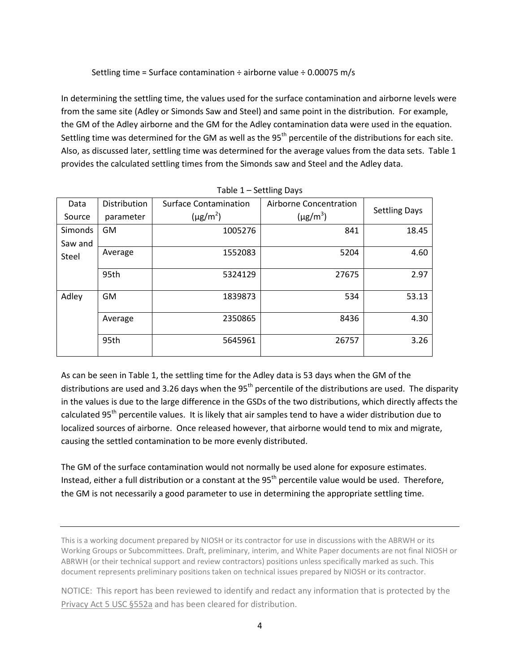# Settling time = Surface contamination  $\div$  airborne value  $\div$  0.00075 m/s

In determining the settling time, the values used for the surface contamination and airborne levels were from the same site (Adley or Simonds Saw and Steel) and same point in the distribution. For example, the GM of the Adley airborne and the GM for the Adley contamination data were used in the equation. Settling time was determined for the GM as well as the 95<sup>th</sup> percentile of the distributions for each site. Also, as discussed later, settling time was determined for the average values from the data sets. Table 1 provides the calculated settling times from the Simonds saw and Steel and the Adley data.

| Data           | Distribution | Surface Contamination<br>Airborne Concentration |               | <b>Settling Days</b> |  |
|----------------|--------------|-------------------------------------------------|---------------|----------------------|--|
| Source         | parameter    | $(\mu$ g/m <sup>2</sup> )                       | $(\mu g/m^3)$ |                      |  |
| <b>Simonds</b> | <b>GM</b>    | 1005276                                         | 841           | 18.45                |  |
| Saw and        |              |                                                 |               |                      |  |
| Steel          | Average      | 1552083                                         | 5204          | 4.60                 |  |
|                | 95th         | 5324129                                         | 27675         | 2.97                 |  |
| Adley          | <b>GM</b>    | 1839873                                         | 534           | 53.13                |  |
|                | Average      | 2350865                                         | 8436          | 4.30                 |  |
|                | 95th         | 5645961                                         | 26757         | 3.26                 |  |

|  | Table 1 - Settling Days |  |
|--|-------------------------|--|
|--|-------------------------|--|

As can be seen in Table 1, the settling time for the Adley data is 53 days when the GM of the distributions are used and 3.26 days when the  $95<sup>th</sup>$  percentile of the distributions are used. The disparity in the values is due to the large difference in the GSDs of the two distributions, which directly affects the calculated 95<sup>th</sup> percentile values. It is likely that air samples tend to have a wider distribution due to localized sources of airborne. Once released however, that airborne would tend to mix and migrate, causing the settled contamination to be more evenly distributed.

The GM of the surface contamination would not normally be used alone for exposure estimates. Instead, either a full distribution or a constant at the 95<sup>th</sup> percentile value would be used. Therefore, the GM is not necessarily a good parameter to use in determining the appropriate settling time.

This is a working document prepared by NIOSH or its contractor for use in discussions with the ABRWH or its Working Groups or Subcommittees. Draft, preliminary, interim, and White Paper documents are not final NIOSH or ABRWH (or their technical support and review contractors) positions unless specifically marked as such. This document represents preliminary positions taken on technical issues prepared by NIOSH or its contractor.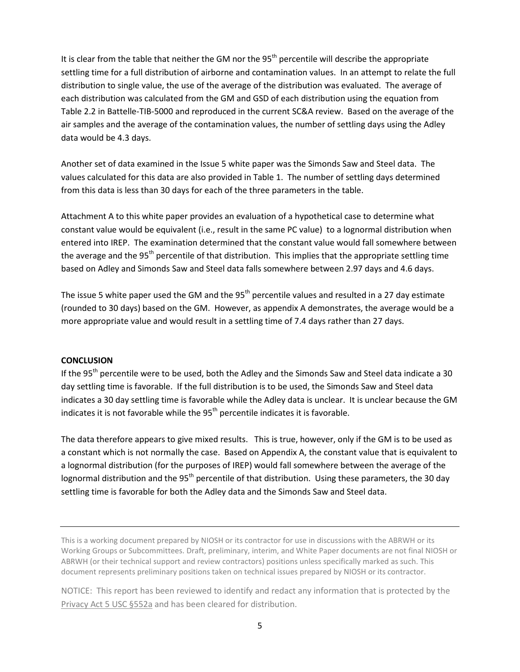It is clear from the table that neither the GM nor the  $95<sup>th</sup>$  percentile will describe the appropriate settling time for a full distribution of airborne and contamination values. In an attempt to relate the full distribution to single value, the use of the average of the distribution was evaluated. The average of each distribution was calculated from the GM and GSD of each distribution using the equation from Table 2.2 in Battelle-TIB-5000 and reproduced in the current SC&A review. Based on the average of the air samples and the average of the contamination values, the number of settling days using the Adley data would be 4.3 days.

Another set of data examined in the Issue 5 white paper was the Simonds Saw and Steel data. The values calculated for this data are also provided in Table 1. The number of settling days determined from this data is less than 30 days for each of the three parameters in the table.

Attachment A to this white paper provides an evaluation of a hypothetical case to determine what constant value would be equivalent (i.e., result in the same PC value) to a lognormal distribution when entered into IREP. The examination determined that the constant value would fall somewhere between the average and the 95<sup>th</sup> percentile of that distribution. This implies that the appropriate settling time based on Adley and Simonds Saw and Steel data falls somewhere between 2.97 days and 4.6 days.

The issue 5 white paper used the GM and the 95<sup>th</sup> percentile values and resulted in a 27 day estimate (rounded to 30 days) based on the GM. However, as appendix A demonstrates, the average would be a more appropriate value and would result in a settling time of 7.4 days rather than 27 days.

## **CONCLUSION**

If the 95<sup>th</sup> percentile were to be used, both the Adley and the Simonds Saw and Steel data indicate a 30 day settling time is favorable. If the full distribution is to be used, the Simonds Saw and Steel data indicates a 30 day settling time is favorable while the Adley data is unclear. It is unclear because the GM indicates it is not favorable while the  $95<sup>th</sup>$  percentile indicates it is favorable.

The data therefore appears to give mixed results. This is true, however, only if the GM is to be used as a constant which is not normally the case. Based on Appendix A, the constant value that is equivalent to a lognormal distribution (for the purposes of IREP) would fall somewhere between the average of the lognormal distribution and the 95<sup>th</sup> percentile of that distribution. Using these parameters, the 30 day settling time is favorable for both the Adley data and the Simonds Saw and Steel data.

This is a working document prepared by NIOSH or its contractor for use in discussions with the ABRWH or its Working Groups or Subcommittees. Draft, preliminary, interim, and White Paper documents are not final NIOSH or ABRWH (or their technical support and review contractors) positions unless specifically marked as such. This document represents preliminary positions taken on technical issues prepared by NIOSH or its contractor.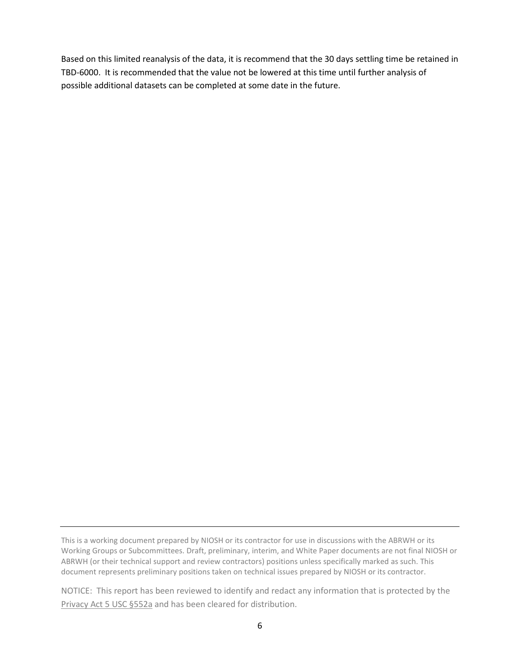Based on this limited reanalysis of the data, it is recommend that the 30 days settling time be retained in TBD-6000. It is recommended that the value not be lowered at this time until further analysis of possible additional datasets can be completed at some date in the future.

This is a working document prepared by NIOSH or its contractor for use in discussions with the ABRWH or its Working Groups or Subcommittees. Draft, preliminary, interim, and White Paper documents are not final NIOSH or ABRWH (or their technical support and review contractors) positions unless specifically marked as such. This document represents preliminary positions taken on technical issues prepared by NIOSH or its contractor.

NOTICE: This report has been reviewed to identify and redact any information that is protected by the Privacy Act 5 USC §552a and has been cleared for distribution.